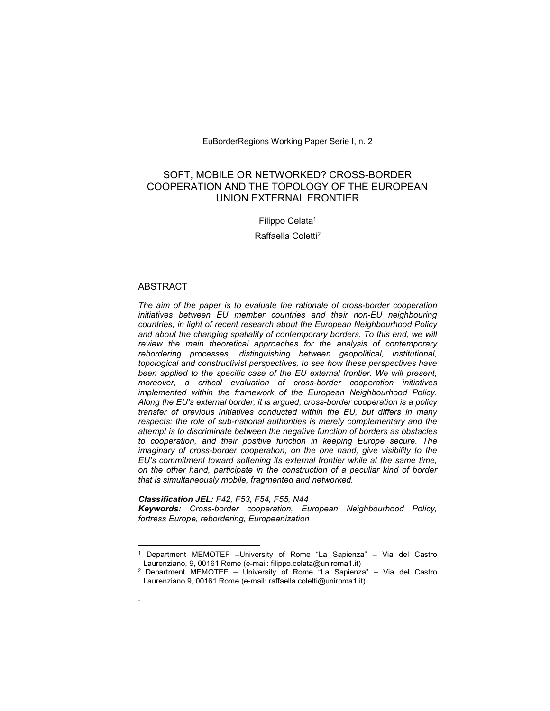EuBorderRegions Working Paper Serie I, n. 2

# SOFT, MOBILE OR NETWORKED? CROSS-BORDER COOPERATION AND THE TOPOLOGY OF THE EUROPEAN UNION EXTERNAL FRONTIER

# Filippo Celata<sup>1</sup>

Raffaella Coletti<sup>2</sup>

## ABSTRACT

 $\overline{a}$ 

.

The aim of the paper is to evaluate the rationale of cross-border cooperation initiatives between EU member countries and their non-EU neighbouring countries, in light of recent research about the European Neighbourhood Policy and about the changing spatiality of contemporary borders. To this end, we will review the main theoretical approaches for the analysis of contemporary rebordering processes, distinguishing between geopolitical, institutional, topological and constructivist perspectives, to see how these perspectives have been applied to the specific case of the EU external frontier. We will present, moreover, a critical evaluation of cross-border cooperation initiatives implemented within the framework of the European Neighbourhood Policy. Along the EU's external border, it is argued, cross-border cooperation is a policy transfer of previous initiatives conducted within the EU, but differs in many respects: the role of sub-national authorities is merely complementary and the attempt is to discriminate between the negative function of borders as obstacles to cooperation, and their positive function in keeping Europe secure. The imaginary of cross-border cooperation, on the one hand, give visibility to the EU's commitment toward softening its external frontier while at the same time, on the other hand, participate in the construction of a peculiar kind of border that is simultaneously mobile, fragmented and networked.

## Classification JEL: F42, F53, F54, F55, N44

Keywords: Cross-border cooperation, European Neighbourhood Policy, fortress Europe, rebordering, Europeanization

<sup>1</sup> Department MEMOTEF –University of Rome "La Sapienza" – Via del Castro Laurenziano, 9, 00161 Rome (e-mail: filippo.celata@uniroma1.it)

<sup>&</sup>lt;sup>2</sup> Department MEMOTEF – University of Rome "La Sapienza" – Via del Castro Laurenziano 9, 00161 Rome (e-mail: raffaella.coletti@uniroma1.it).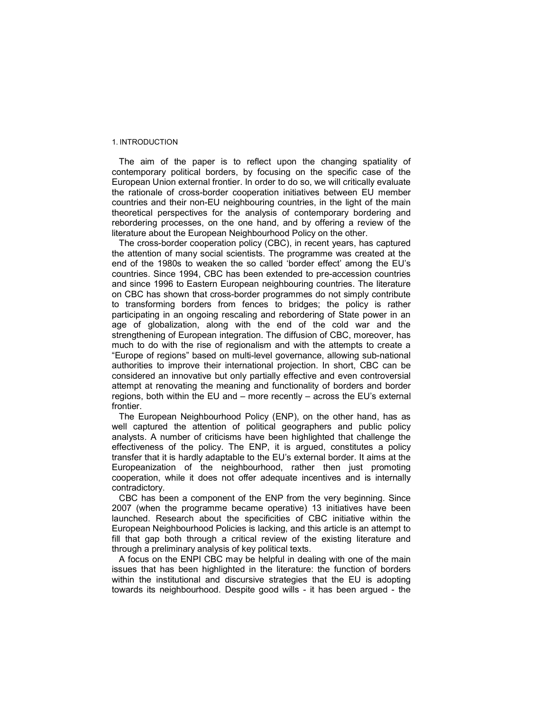## 1. INTRODUCTION

The aim of the paper is to reflect upon the changing spatiality of contemporary political borders, by focusing on the specific case of the European Union external frontier. In order to do so, we will critically evaluate the rationale of cross-border cooperation initiatives between EU member countries and their non-EU neighbouring countries, in the light of the main theoretical perspectives for the analysis of contemporary bordering and rebordering processes, on the one hand, and by offering a review of the literature about the European Neighbourhood Policy on the other.

The cross-border cooperation policy (CBC), in recent years, has captured the attention of many social scientists. The programme was created at the end of the 1980s to weaken the so called 'border effect' among the EU's countries. Since 1994, CBC has been extended to pre-accession countries and since 1996 to Eastern European neighbouring countries. The literature on CBC has shown that cross-border programmes do not simply contribute to transforming borders from fences to bridges; the policy is rather participating in an ongoing rescaling and rebordering of State power in an age of globalization, along with the end of the cold war and the strengthening of European integration. The diffusion of CBC, moreover, has much to do with the rise of regionalism and with the attempts to create a "Europe of regions" based on multi-level governance, allowing sub-national authorities to improve their international projection. In short, CBC can be considered an innovative but only partially effective and even controversial attempt at renovating the meaning and functionality of borders and border regions, both within the EU and – more recently – across the EU's external frontier.

The European Neighbourhood Policy (ENP), on the other hand, has as well captured the attention of political geographers and public policy analysts. A number of criticisms have been highlighted that challenge the effectiveness of the policy. The ENP, it is argued, constitutes a policy transfer that it is hardly adaptable to the EU's external border. It aims at the Europeanization of the neighbourhood, rather then just promoting cooperation, while it does not offer adequate incentives and is internally contradictory.

CBC has been a component of the ENP from the very beginning. Since 2007 (when the programme became operative) 13 initiatives have been launched. Research about the specificities of CBC initiative within the European Neighbourhood Policies is lacking, and this article is an attempt to fill that gap both through a critical review of the existing literature and through a preliminary analysis of key political texts.

A focus on the ENPI CBC may be helpful in dealing with one of the main issues that has been highlighted in the literature: the function of borders within the institutional and discursive strategies that the EU is adopting towards its neighbourhood. Despite good wills - it has been argued - the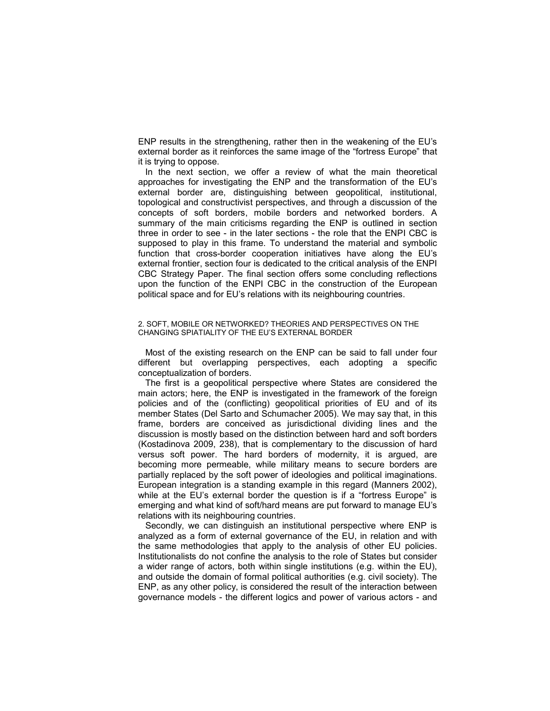ENP results in the strengthening, rather then in the weakening of the EU's external border as it reinforces the same image of the "fortress Europe" that it is trying to oppose.

In the next section, we offer a review of what the main theoretical approaches for investigating the ENP and the transformation of the EU's external border are, distinguishing between geopolitical, institutional, topological and constructivist perspectives, and through a discussion of the concepts of soft borders, mobile borders and networked borders. A summary of the main criticisms regarding the ENP is outlined in section three in order to see - in the later sections - the role that the ENPI CBC is supposed to play in this frame. To understand the material and symbolic function that cross-border cooperation initiatives have along the EU's external frontier, section four is dedicated to the critical analysis of the ENPI CBC Strategy Paper. The final section offers some concluding reflections upon the function of the ENPI CBC in the construction of the European political space and for EU's relations with its neighbouring countries.

## 2. SOFT, MOBILE OR NETWORKED? THEORIES AND PERSPECTIVES ON THE CHANGING SPIATIALITY OF THE EU'S EXTERNAL BORDER

Most of the existing research on the ENP can be said to fall under four different but overlapping perspectives, each adopting a specific conceptualization of borders.

The first is a geopolitical perspective where States are considered the main actors; here, the ENP is investigated in the framework of the foreign policies and of the (conflicting) geopolitical priorities of EU and of its member States (Del Sarto and Schumacher 2005). We may say that, in this frame, borders are conceived as jurisdictional dividing lines and the discussion is mostly based on the distinction between hard and soft borders (Kostadinova 2009, 238), that is complementary to the discussion of hard versus soft power. The hard borders of modernity, it is argued, are becoming more permeable, while military means to secure borders are partially replaced by the soft power of ideologies and political imaginations. European integration is a standing example in this regard (Manners 2002), while at the EU's external border the question is if a "fortress Europe" is emerging and what kind of soft/hard means are put forward to manage EU's relations with its neighbouring countries.

Secondly, we can distinguish an institutional perspective where ENP is analyzed as a form of external governance of the EU, in relation and with the same methodologies that apply to the analysis of other EU policies. Institutionalists do not confine the analysis to the role of States but consider a wider range of actors, both within single institutions (e.g. within the EU), and outside the domain of formal political authorities (e.g. civil society). The ENP, as any other policy, is considered the result of the interaction between governance models - the different logics and power of various actors - and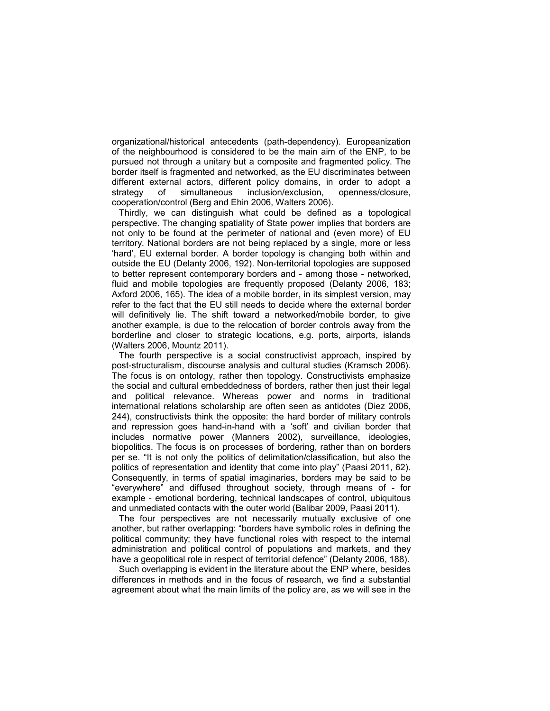organizational/historical antecedents (path-dependency). Europeanization of the neighbourhood is considered to be the main aim of the ENP, to be pursued not through a unitary but a composite and fragmented policy. The border itself is fragmented and networked, as the EU discriminates between different external actors, different policy domains, in order to adopt a strategy of simultaneous inclusion/exclusion, openness/closure, cooperation/control (Berg and Ehin 2006, Walters 2006).

Thirdly, we can distinguish what could be defined as a topological perspective. The changing spatiality of State power implies that borders are not only to be found at the perimeter of national and (even more) of EU territory. National borders are not being replaced by a single, more or less 'hard', EU external border. A border topology is changing both within and outside the EU (Delanty 2006, 192). Non-territorial topologies are supposed to better represent contemporary borders and - among those - networked, fluid and mobile topologies are frequently proposed (Delanty 2006, 183; Axford 2006, 165). The idea of a mobile border, in its simplest version, may refer to the fact that the EU still needs to decide where the external border will definitively lie. The shift toward a networked/mobile border, to give another example, is due to the relocation of border controls away from the borderline and closer to strategic locations, e.g. ports, airports, islands (Walters 2006, Mountz 2011).

The fourth perspective is a social constructivist approach, inspired by post-structuralism, discourse analysis and cultural studies (Kramsch 2006). The focus is on ontology, rather then topology. Constructivists emphasize the social and cultural embeddedness of borders, rather then just their legal and political relevance. Whereas power and norms in traditional international relations scholarship are often seen as antidotes (Diez 2006, 244), constructivists think the opposite: the hard border of military controls and repression goes hand-in-hand with a 'soft' and civilian border that includes normative power (Manners 2002), surveillance, ideologies, biopolitics. The focus is on processes of bordering, rather than on borders per se. "It is not only the politics of delimitation/classification, but also the politics of representation and identity that come into play" (Paasi 2011, 62). Consequently, in terms of spatial imaginaries, borders may be said to be "everywhere" and diffused throughout society, through means of - for example - emotional bordering, technical landscapes of control, ubiquitous and unmediated contacts with the outer world (Balibar 2009, Paasi 2011).

The four perspectives are not necessarily mutually exclusive of one another, but rather overlapping: "borders have symbolic roles in defining the political community; they have functional roles with respect to the internal administration and political control of populations and markets, and they have a geopolitical role in respect of territorial defence" (Delanty 2006, 188).

Such overlapping is evident in the literature about the ENP where, besides differences in methods and in the focus of research, we find a substantial agreement about what the main limits of the policy are, as we will see in the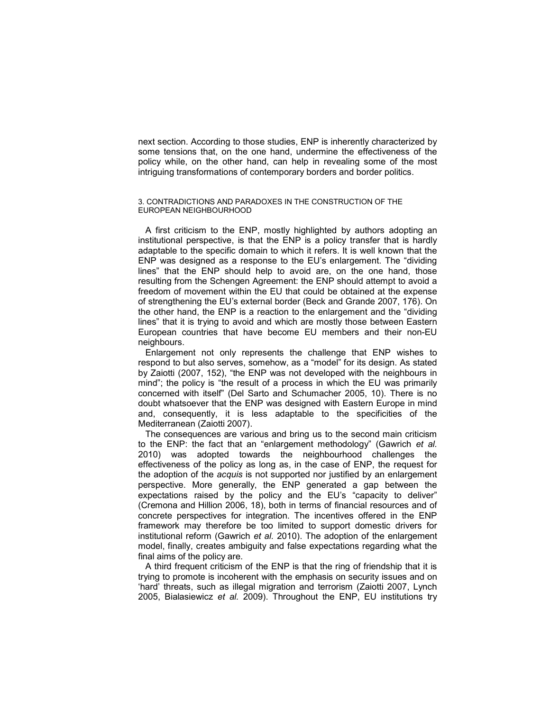next section. According to those studies, ENP is inherently characterized by some tensions that, on the one hand, undermine the effectiveness of the policy while, on the other hand, can help in revealing some of the most intriguing transformations of contemporary borders and border politics.

## 3. CONTRADICTIONS AND PARADOXES IN THE CONSTRUCTION OF THE EUROPEAN NEIGHBOURHOOD

A first criticism to the ENP, mostly highlighted by authors adopting an institutional perspective, is that the ENP is a policy transfer that is hardly adaptable to the specific domain to which it refers. It is well known that the ENP was designed as a response to the EU's enlargement. The "dividing lines" that the ENP should help to avoid are, on the one hand, those resulting from the Schengen Agreement: the ENP should attempt to avoid a freedom of movement within the EU that could be obtained at the expense of strengthening the EU's external border (Beck and Grande 2007, 176). On the other hand, the ENP is a reaction to the enlargement and the "dividing lines" that it is trying to avoid and which are mostly those between Eastern European countries that have become EU members and their non-EU neighbours.

Enlargement not only represents the challenge that ENP wishes to respond to but also serves, somehow, as a "model" for its design. As stated by Zaiotti (2007, 152), "the ENP was not developed with the neighbours in mind"; the policy is "the result of a process in which the EU was primarily concerned with itself" (Del Sarto and Schumacher 2005, 10). There is no doubt whatsoever that the ENP was designed with Eastern Europe in mind and, consequently, it is less adaptable to the specificities of the Mediterranean (Zaiotti 2007).

The consequences are various and bring us to the second main criticism to the ENP: the fact that an "enlargement methodology" (Gawrich et al. 2010) was adopted towards the neighbourhood challenges the effectiveness of the policy as long as, in the case of ENP, the request for the adoption of the *acquis* is not supported nor justified by an enlargement perspective. More generally, the ENP generated a gap between the expectations raised by the policy and the EU's "capacity to deliver" (Cremona and Hillion 2006, 18), both in terms of financial resources and of concrete perspectives for integration. The incentives offered in the ENP framework may therefore be too limited to support domestic drivers for institutional reform (Gawrich et al. 2010). The adoption of the enlargement model, finally, creates ambiguity and false expectations regarding what the final aims of the policy are.

A third frequent criticism of the ENP is that the ring of friendship that it is trying to promote is incoherent with the emphasis on security issues and on 'hard' threats, such as illegal migration and terrorism (Zaiotti 2007, Lynch 2005, Bialasiewicz et al. 2009). Throughout the ENP, EU institutions try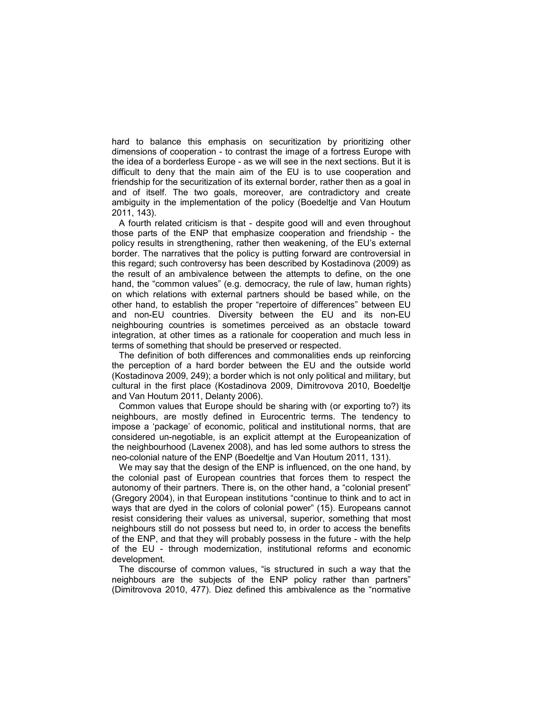hard to balance this emphasis on securitization by prioritizing other dimensions of cooperation - to contrast the image of a fortress Europe with the idea of a borderless Europe - as we will see in the next sections. But it is difficult to deny that the main aim of the EU is to use cooperation and friendship for the securitization of its external border, rather then as a goal in and of itself. The two goals, moreover, are contradictory and create ambiguity in the implementation of the policy (Boedeltje and Van Houtum 2011, 143).

A fourth related criticism is that - despite good will and even throughout those parts of the ENP that emphasize cooperation and friendship - the policy results in strengthening, rather then weakening, of the EU's external border. The narratives that the policy is putting forward are controversial in this regard; such controversy has been described by Kostadinova (2009) as the result of an ambivalence between the attempts to define, on the one hand, the "common values" (e.g. democracy, the rule of law, human rights) on which relations with external partners should be based while, on the other hand, to establish the proper "repertoire of differences" between EU and non-EU countries. Diversity between the EU and its non-EU neighbouring countries is sometimes perceived as an obstacle toward integration, at other times as a rationale for cooperation and much less in terms of something that should be preserved or respected.

The definition of both differences and commonalities ends up reinforcing the perception of a hard border between the EU and the outside world (Kostadinova 2009, 249); a border which is not only political and military, but cultural in the first place (Kostadinova 2009, Dimitrovova 2010, Boedeltje and Van Houtum 2011, Delanty 2006).

Common values that Europe should be sharing with (or exporting to?) its neighbours, are mostly defined in Eurocentric terms. The tendency to impose a 'package' of economic, political and institutional norms, that are considered un-negotiable, is an explicit attempt at the Europeanization of the neighbourhood (Lavenex 2008), and has led some authors to stress the neo-colonial nature of the ENP (Boedeltje and Van Houtum 2011, 131).

We may say that the design of the ENP is influenced, on the one hand, by the colonial past of European countries that forces them to respect the autonomy of their partners. There is, on the other hand, a "colonial present" (Gregory 2004), in that European institutions "continue to think and to act in ways that are dyed in the colors of colonial power" (15). Europeans cannot resist considering their values as universal, superior, something that most neighbours still do not possess but need to, in order to access the benefits of the ENP, and that they will probably possess in the future - with the help of the EU - through modernization, institutional reforms and economic development.

The discourse of common values, "is structured in such a way that the neighbours are the subjects of the ENP policy rather than partners" (Dimitrovova 2010, 477). Diez defined this ambivalence as the "normative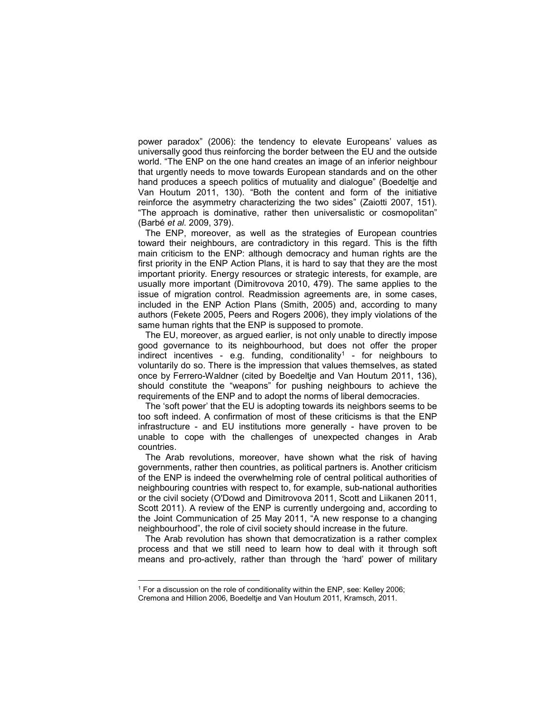power paradox" (2006): the tendency to elevate Europeans' values as universally good thus reinforcing the border between the EU and the outside world. "The ENP on the one hand creates an image of an inferior neighbour that urgently needs to move towards European standards and on the other hand produces a speech politics of mutuality and dialogue" (Boedeltje and Van Houtum 2011, 130). "Both the content and form of the initiative reinforce the asymmetry characterizing the two sides" (Zaiotti 2007, 151). "The approach is dominative, rather then universalistic or cosmopolitan" (Barbé et al. 2009, 379).

The ENP, moreover, as well as the strategies of European countries toward their neighbours, are contradictory in this regard. This is the fifth main criticism to the ENP: although democracy and human rights are the first priority in the ENP Action Plans, it is hard to say that they are the most important priority. Energy resources or strategic interests, for example, are usually more important (Dimitrovova 2010, 479). The same applies to the issue of migration control. Readmission agreements are, in some cases, included in the ENP Action Plans (Smith, 2005) and, according to many authors (Fekete 2005, Peers and Rogers 2006), they imply violations of the same human rights that the ENP is supposed to promote.

The EU, moreover, as argued earlier, is not only unable to directly impose good governance to its neighbourhood, but does not offer the proper indirect incentives - e.g. funding, conditionality<sup>1</sup> - for neighbours to voluntarily do so. There is the impression that values themselves, as stated once by Ferrero-Waldner (cited by Boedeltje and Van Houtum 2011, 136), should constitute the "weapons" for pushing neighbours to achieve the requirements of the ENP and to adopt the norms of liberal democracies.

The 'soft power' that the EU is adopting towards its neighbors seems to be too soft indeed. A confirmation of most of these criticisms is that the ENP infrastructure - and EU institutions more generally - have proven to be unable to cope with the challenges of unexpected changes in Arab countries.

The Arab revolutions, moreover, have shown what the risk of having governments, rather then countries, as political partners is. Another criticism of the ENP is indeed the overwhelming role of central political authorities of neighbouring countries with respect to, for example, sub-national authorities or the civil society (O'Dowd and Dimitrovova 2011, Scott and Liikanen 2011, Scott 2011). A review of the ENP is currently undergoing and, according to the Joint Communication of 25 May 2011, "A new response to a changing neighbourhood", the role of civil society should increase in the future.

The Arab revolution has shown that democratization is a rather complex process and that we still need to learn how to deal with it through soft means and pro-actively, rather than through the 'hard' power of military

 $\overline{a}$ 

<sup>&</sup>lt;sup>1</sup> For a discussion on the role of conditionality within the ENP, see: Kelley 2006;

Cremona and Hillion 2006, Boedeltje and Van Houtum 2011, Kramsch, 2011.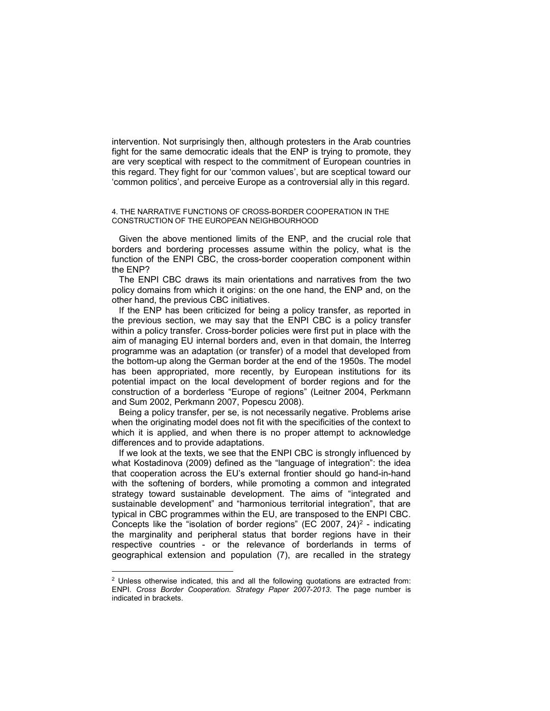intervention. Not surprisingly then, although protesters in the Arab countries fight for the same democratic ideals that the ENP is trying to promote, they are very sceptical with respect to the commitment of European countries in this regard. They fight for our 'common values', but are sceptical toward our 'common politics', and perceive Europe as a controversial ally in this regard.

## 4. THE NARRATIVE FUNCTIONS OF CROSS-BORDER COOPERATION IN THE CONSTRUCTION OF THE EUROPEAN NEIGHBOURHOOD

Given the above mentioned limits of the ENP, and the crucial role that borders and bordering processes assume within the policy, what is the function of the ENPI CBC, the cross-border cooperation component within the ENP?

The ENPI CBC draws its main orientations and narratives from the two policy domains from which it origins: on the one hand, the ENP and, on the other hand, the previous CBC initiatives.

If the ENP has been criticized for being a policy transfer, as reported in the previous section, we may say that the ENPI CBC is a policy transfer within a policy transfer. Cross-border policies were first put in place with the aim of managing EU internal borders and, even in that domain, the Interreg programme was an adaptation (or transfer) of a model that developed from the bottom-up along the German border at the end of the 1950s. The model has been appropriated, more recently, by European institutions for its potential impact on the local development of border regions and for the construction of a borderless "Europe of regions" (Leitner 2004, Perkmann and Sum 2002, Perkmann 2007, Popescu 2008).

Being a policy transfer, per se, is not necessarily negative. Problems arise when the originating model does not fit with the specificities of the context to which it is applied, and when there is no proper attempt to acknowledge differences and to provide adaptations.

If we look at the texts, we see that the ENPI CBC is strongly influenced by what Kostadinova (2009) defined as the "language of integration": the idea that cooperation across the EU's external frontier should go hand-in-hand with the softening of borders, while promoting a common and integrated strategy toward sustainable development. The aims of "integrated and sustainable development" and "harmonious territorial integration", that are typical in CBC programmes within the EU, are transposed to the ENPI CBC. Concepts like the "isolation of border regions" (EC 2007, 24)<sup>2</sup> - indicating the marginality and peripheral status that border regions have in their respective countries - or the relevance of borderlands in terms of geographical extension and population (7), are recalled in the strategy

 $\overline{a}$ 

 $2$  Unless otherwise indicated, this and all the following quotations are extracted from: ENPI. Cross Border Cooperation. Strategy Paper 2007-2013. The page number is indicated in brackets.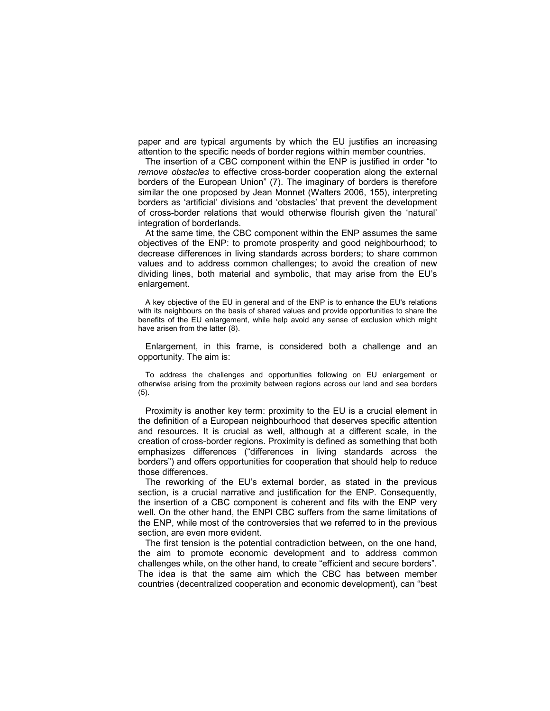paper and are typical arguments by which the EU justifies an increasing attention to the specific needs of border regions within member countries.

The insertion of a CBC component within the ENP is justified in order "to remove obstacles to effective cross-border cooperation along the external borders of the European Union" (7). The imaginary of borders is therefore similar the one proposed by Jean Monnet (Walters 2006, 155), interpreting borders as 'artificial' divisions and 'obstacles' that prevent the development of cross-border relations that would otherwise flourish given the 'natural' integration of borderlands.

At the same time, the CBC component within the ENP assumes the same objectives of the ENP: to promote prosperity and good neighbourhood; to decrease differences in living standards across borders; to share common values and to address common challenges; to avoid the creation of new dividing lines, both material and symbolic, that may arise from the EU's enlargement.

A key objective of the EU in general and of the ENP is to enhance the EU's relations with its neighbours on the basis of shared values and provide opportunities to share the benefits of the EU enlargement, while help avoid any sense of exclusion which might have arisen from the latter (8).

Enlargement, in this frame, is considered both a challenge and an opportunity. The aim is:

To address the challenges and opportunities following on EU enlargement or otherwise arising from the proximity between regions across our land and sea borders (5).

Proximity is another key term: proximity to the EU is a crucial element in the definition of a European neighbourhood that deserves specific attention and resources. It is crucial as well, although at a different scale, in the creation of cross-border regions. Proximity is defined as something that both emphasizes differences ("differences in living standards across the borders") and offers opportunities for cooperation that should help to reduce those differences.

The reworking of the EU's external border, as stated in the previous section, is a crucial narrative and justification for the ENP. Consequently, the insertion of a CBC component is coherent and fits with the ENP very well. On the other hand, the ENPI CBC suffers from the same limitations of the ENP, while most of the controversies that we referred to in the previous section, are even more evident.

The first tension is the potential contradiction between, on the one hand, the aim to promote economic development and to address common challenges while, on the other hand, to create "efficient and secure borders". The idea is that the same aim which the CBC has between member countries (decentralized cooperation and economic development), can "best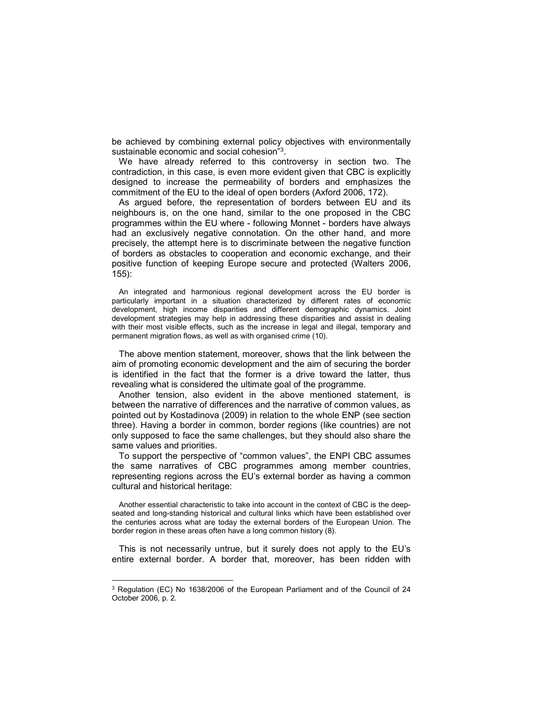be achieved by combining external policy objectives with environmentally sustainable economic and social cohesion"<sup>3</sup>.

We have already referred to this controversy in section two. The contradiction, in this case, is even more evident given that CBC is explicitly designed to increase the permeability of borders and emphasizes the commitment of the EU to the ideal of open borders (Axford 2006, 172).

As argued before, the representation of borders between EU and its neighbours is, on the one hand, similar to the one proposed in the CBC programmes within the EU where - following Monnet - borders have always had an exclusively negative connotation. On the other hand, and more precisely, the attempt here is to discriminate between the negative function of borders as obstacles to cooperation and economic exchange, and their positive function of keeping Europe secure and protected (Walters 2006, 155):

An integrated and harmonious regional development across the EU border is particularly important in a situation characterized by different rates of economic development, high income disparities and different demographic dynamics. Joint development strategies may help in addressing these disparities and assist in dealing with their most visible effects, such as the increase in legal and illegal, temporary and permanent migration flows, as well as with organised crime (10).

The above mention statement, moreover, shows that the link between the aim of promoting economic development and the aim of securing the border is identified in the fact that the former is a drive toward the latter, thus revealing what is considered the ultimate goal of the programme.

Another tension, also evident in the above mentioned statement, is between the narrative of differences and the narrative of common values, as pointed out by Kostadinova (2009) in relation to the whole ENP (see section three). Having a border in common, border regions (like countries) are not only supposed to face the same challenges, but they should also share the same values and priorities.

To support the perspective of "common values", the ENPI CBC assumes the same narratives of CBC programmes among member countries, representing regions across the EU's external border as having a common cultural and historical heritage:

Another essential characteristic to take into account in the context of CBC is the deepseated and long-standing historical and cultural links which have been established over the centuries across what are today the external borders of the European Union. The border region in these areas often have a long common history (8).

This is not necessarily untrue, but it surely does not apply to the EU's entire external border. A border that, moreover, has been ridden with

 $\overline{a}$ 

<sup>&</sup>lt;sup>3</sup> Regulation (EC) No 1638/2006 of the European Parliament and of the Council of 24 October 2006, p. 2.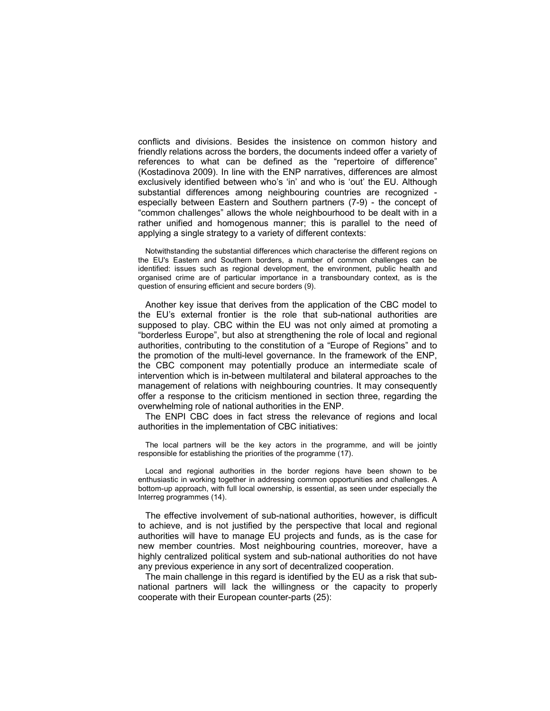conflicts and divisions. Besides the insistence on common history and friendly relations across the borders, the documents indeed offer a variety of references to what can be defined as the "repertoire of difference" (Kostadinova 2009). In line with the ENP narratives, differences are almost exclusively identified between who's 'in' and who is 'out' the EU. Although substantial differences among neighbouring countries are recognized especially between Eastern and Southern partners (7-9) - the concept of "common challenges" allows the whole neighbourhood to be dealt with in a rather unified and homogenous manner; this is parallel to the need of applying a single strategy to a variety of different contexts:

Notwithstanding the substantial differences which characterise the different regions on the EU's Eastern and Southern borders, a number of common challenges can be identified: issues such as regional development, the environment, public health and organised crime are of particular importance in a transboundary context, as is the question of ensuring efficient and secure borders (9).

Another key issue that derives from the application of the CBC model to the EU's external frontier is the role that sub-national authorities are supposed to play. CBC within the EU was not only aimed at promoting a "borderless Europe", but also at strengthening the role of local and regional authorities, contributing to the constitution of a "Europe of Regions" and to the promotion of the multi-level governance. In the framework of the ENP, the CBC component may potentially produce an intermediate scale of intervention which is in-between multilateral and bilateral approaches to the management of relations with neighbouring countries. It may consequently offer a response to the criticism mentioned in section three, regarding the overwhelming role of national authorities in the ENP.

The ENPI CBC does in fact stress the relevance of regions and local authorities in the implementation of CBC initiatives:

The local partners will be the key actors in the programme, and will be jointly responsible for establishing the priorities of the programme (17).

Local and regional authorities in the border regions have been shown to be enthusiastic in working together in addressing common opportunities and challenges. A bottom-up approach, with full local ownership, is essential, as seen under especially the Interreg programmes (14).

The effective involvement of sub-national authorities, however, is difficult to achieve, and is not justified by the perspective that local and regional authorities will have to manage EU projects and funds, as is the case for new member countries. Most neighbouring countries, moreover, have a highly centralized political system and sub-national authorities do not have any previous experience in any sort of decentralized cooperation.

The main challenge in this regard is identified by the EU as a risk that subnational partners will lack the willingness or the capacity to properly cooperate with their European counter-parts (25):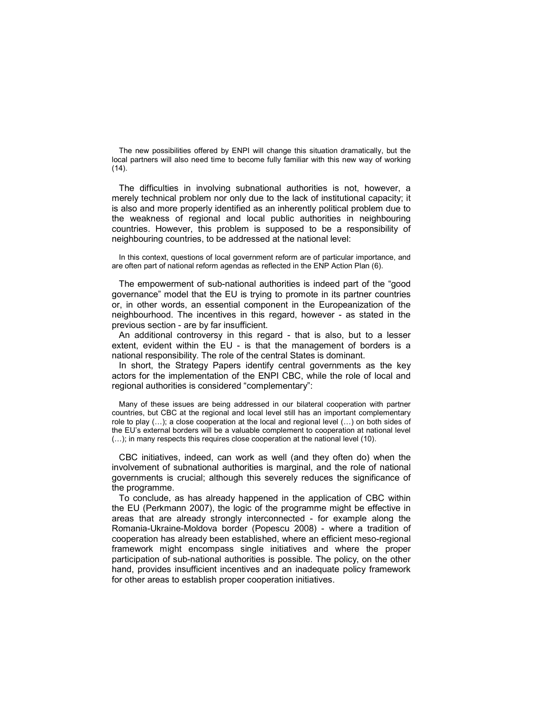The new possibilities offered by ENPI will change this situation dramatically, but the local partners will also need time to become fully familiar with this new way of working  $(14).$ 

The difficulties in involving subnational authorities is not, however, a merely technical problem nor only due to the lack of institutional capacity; it is also and more properly identified as an inherently political problem due to the weakness of regional and local public authorities in neighbouring countries. However, this problem is supposed to be a responsibility of neighbouring countries, to be addressed at the national level:

In this context, questions of local government reform are of particular importance, and are often part of national reform agendas as reflected in the ENP Action Plan (6).

The empowerment of sub-national authorities is indeed part of the "good governance" model that the EU is trying to promote in its partner countries or, in other words, an essential component in the Europeanization of the neighbourhood. The incentives in this regard, however - as stated in the previous section - are by far insufficient.

An additional controversy in this regard - that is also, but to a lesser extent, evident within the EU - is that the management of borders is a national responsibility. The role of the central States is dominant.

In short, the Strategy Papers identify central governments as the key actors for the implementation of the ENPI CBC, while the role of local and regional authorities is considered "complementary":

Many of these issues are being addressed in our bilateral cooperation with partner countries, but CBC at the regional and local level still has an important complementary role to play (…); a close cooperation at the local and regional level (…) on both sides of the EU's external borders will be a valuable complement to cooperation at national level (…); in many respects this requires close cooperation at the national level (10).

CBC initiatives, indeed, can work as well (and they often do) when the involvement of subnational authorities is marginal, and the role of national governments is crucial; although this severely reduces the significance of the programme.

To conclude, as has already happened in the application of CBC within the EU (Perkmann 2007), the logic of the programme might be effective in areas that are already strongly interconnected - for example along the Romania-Ukraine-Moldova border (Popescu 2008) - where a tradition of cooperation has already been established, where an efficient meso-regional framework might encompass single initiatives and where the proper participation of sub-national authorities is possible. The policy, on the other hand, provides insufficient incentives and an inadequate policy framework for other areas to establish proper cooperation initiatives.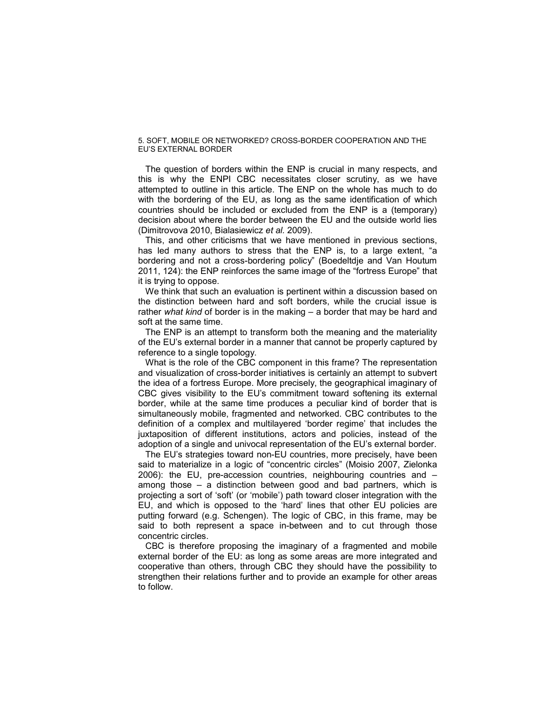## 5. SOFT, MOBILE OR NETWORKED? CROSS-BORDER COOPERATION AND THE EU'S EXTERNAL BORDER

The question of borders within the ENP is crucial in many respects, and this is why the ENPI CBC necessitates closer scrutiny, as we have attempted to outline in this article. The ENP on the whole has much to do with the bordering of the EU, as long as the same identification of which countries should be included or excluded from the ENP is a (temporary) decision about where the border between the EU and the outside world lies (Dimitrovova 2010, Bialasiewicz et al. 2009).

This, and other criticisms that we have mentioned in previous sections, has led many authors to stress that the ENP is, to a large extent, "a bordering and not a cross-bordering policy" (Boedeltdje and Van Houtum 2011, 124): the ENP reinforces the same image of the "fortress Europe" that it is trying to oppose.

We think that such an evaluation is pertinent within a discussion based on the distinction between hard and soft borders, while the crucial issue is rather what kind of border is in the making – a border that may be hard and soft at the same time.

The ENP is an attempt to transform both the meaning and the materiality of the EU's external border in a manner that cannot be properly captured by reference to a single topology.

What is the role of the CBC component in this frame? The representation and visualization of cross-border initiatives is certainly an attempt to subvert the idea of a fortress Europe. More precisely, the geographical imaginary of CBC gives visibility to the EU's commitment toward softening its external border, while at the same time produces a peculiar kind of border that is simultaneously mobile, fragmented and networked. CBC contributes to the definition of a complex and multilayered 'border regime' that includes the juxtaposition of different institutions, actors and policies, instead of the adoption of a single and univocal representation of the EU's external border.

The EU's strategies toward non-EU countries, more precisely, have been said to materialize in a logic of "concentric circles" (Moisio 2007, Zielonka 2006): the EU, pre-accession countries, neighbouring countries and – among those – a distinction between good and bad partners, which is projecting a sort of 'soft' (or 'mobile') path toward closer integration with the EU, and which is opposed to the 'hard' lines that other EU policies are putting forward (e.g. Schengen). The logic of CBC, in this frame, may be said to both represent a space in-between and to cut through those concentric circles.

CBC is therefore proposing the imaginary of a fragmented and mobile external border of the EU: as long as some areas are more integrated and cooperative than others, through CBC they should have the possibility to strengthen their relations further and to provide an example for other areas to follow.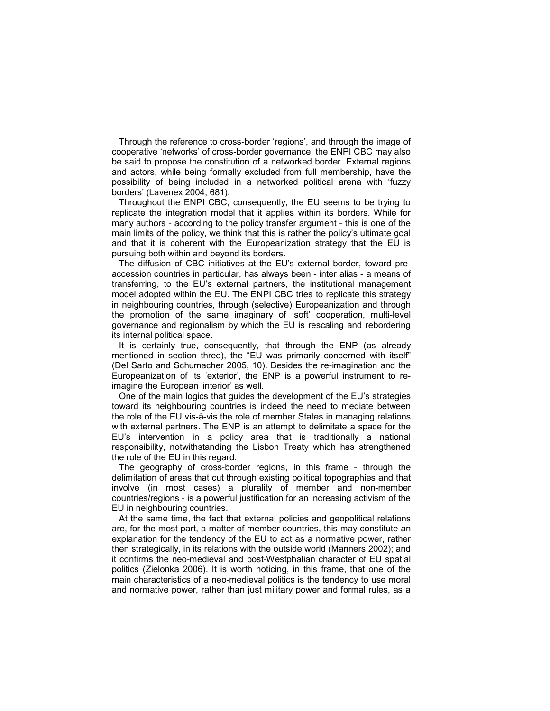Through the reference to cross-border 'regions', and through the image of cooperative 'networks' of cross-border governance, the ENPI CBC may also be said to propose the constitution of a networked border. External regions and actors, while being formally excluded from full membership, have the possibility of being included in a networked political arena with 'fuzzy borders' (Lavenex 2004, 681).

Throughout the ENPI CBC, consequently, the EU seems to be trying to replicate the integration model that it applies within its borders. While for many authors - according to the policy transfer argument - this is one of the main limits of the policy, we think that this is rather the policy's ultimate goal and that it is coherent with the Europeanization strategy that the EU is pursuing both within and beyond its borders.

The diffusion of CBC initiatives at the EU's external border, toward preaccession countries in particular, has always been - inter alias - a means of transferring, to the EU's external partners, the institutional management model adopted within the EU. The ENPI CBC tries to replicate this strategy in neighbouring countries, through (selective) Europeanization and through the promotion of the same imaginary of 'soft' cooperation, multi-level governance and regionalism by which the EU is rescaling and rebordering its internal political space.

It is certainly true, consequently, that through the ENP (as already mentioned in section three), the "EU was primarily concerned with itself" (Del Sarto and Schumacher 2005, 10). Besides the re-imagination and the Europeanization of its 'exterior', the ENP is a powerful instrument to reimagine the European 'interior' as well.

One of the main logics that guides the development of the EU's strategies toward its neighbouring countries is indeed the need to mediate between the role of the EU vis-à-vis the role of member States in managing relations with external partners. The ENP is an attempt to delimitate a space for the EU's intervention in a policy area that is traditionally a national responsibility, notwithstanding the Lisbon Treaty which has strengthened the role of the EU in this regard.

The geography of cross-border regions, in this frame - through the delimitation of areas that cut through existing political topographies and that involve (in most cases) a plurality of member and non-member countries/regions - is a powerful justification for an increasing activism of the EU in neighbouring countries.

At the same time, the fact that external policies and geopolitical relations are, for the most part, a matter of member countries, this may constitute an explanation for the tendency of the EU to act as a normative power, rather then strategically, in its relations with the outside world (Manners 2002); and it confirms the neo-medieval and post-Westphalian character of EU spatial politics (Zielonka 2006). It is worth noticing, in this frame, that one of the main characteristics of a neo-medieval politics is the tendency to use moral and normative power, rather than just military power and formal rules, as a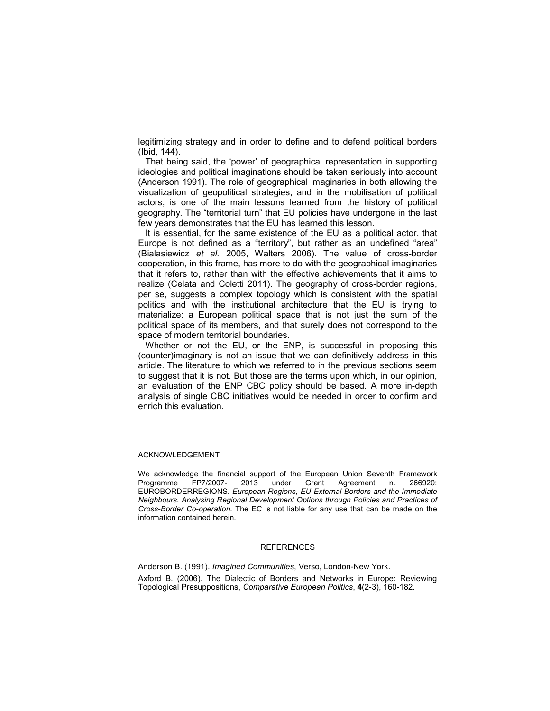legitimizing strategy and in order to define and to defend political borders (Ibid, 144).

That being said, the 'power' of geographical representation in supporting ideologies and political imaginations should be taken seriously into account (Anderson 1991). The role of geographical imaginaries in both allowing the visualization of geopolitical strategies, and in the mobilisation of political actors, is one of the main lessons learned from the history of political geography. The "territorial turn" that EU policies have undergone in the last few years demonstrates that the EU has learned this lesson.

It is essential, for the same existence of the EU as a political actor, that Europe is not defined as a "territory", but rather as an undefined "area" (Bialasiewicz et al. 2005, Walters 2006). The value of cross-border cooperation, in this frame, has more to do with the geographical imaginaries that it refers to, rather than with the effective achievements that it aims to realize (Celata and Coletti 2011). The geography of cross-border regions, per se, suggests a complex topology which is consistent with the spatial politics and with the institutional architecture that the EU is trying to materialize: a European political space that is not just the sum of the political space of its members, and that surely does not correspond to the space of modern territorial boundaries.

Whether or not the EU, or the ENP, is successful in proposing this (counter)imaginary is not an issue that we can definitively address in this article. The literature to which we referred to in the previous sections seem to suggest that it is not. But those are the terms upon which, in our opinion, an evaluation of the ENP CBC policy should be based. A more in-depth analysis of single CBC initiatives would be needed in order to confirm and enrich this evaluation.

## ACKNOWLEDGEMENT

We acknowledge the financial support of the European Union Seventh Framework Programme FP7/2007- 2013 under Grant Agreement n. 266920: EUROBORDERREGIONS. European Regions, EU External Borders and the Immediate Neighbours. Analysing Regional Development Options through Policies and Practices of Cross-Border Co-operation. The EC is not liable for any use that can be made on the information contained herein.

## **REFERENCES**

Anderson B. (1991). Imagined Communities, Verso, London-New York. Axford B. (2006). The Dialectic of Borders and Networks in Europe: Reviewing Topological Presuppositions, Comparative European Politics, 4(2-3), 160-182.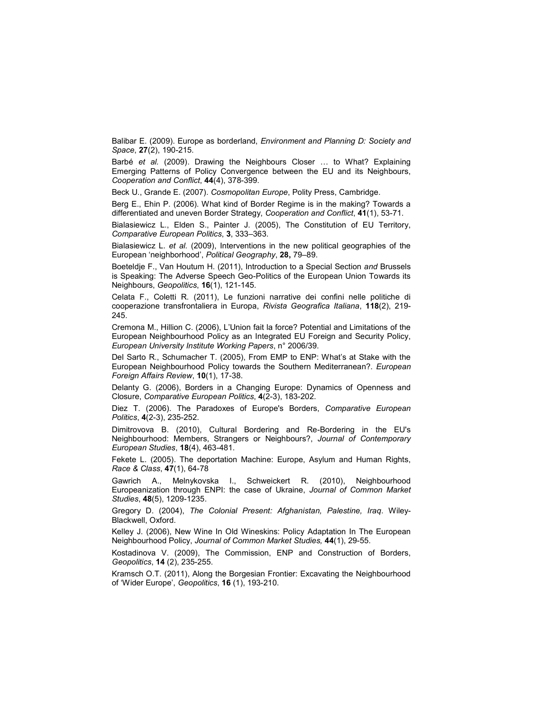Balibar E. (2009). Europe as borderland, *Environment and Planning D: Society and* Space, 27(2), 190-215.

Barbé et al. (2009). Drawing the Neighbours Closer ... to What? Explaining Emerging Patterns of Policy Convergence between the EU and its Neighbours, Cooperation and Conflict, 44(4), 378-399.

Beck U., Grande E. (2007). Cosmopolitan Europe, Polity Press, Cambridge.

Berg E., Ehin P. (2006). What kind of Border Regime is in the making? Towards a differentiated and uneven Border Strategy, Cooperation and Conflict, 41(1), 53-71.

Bialasiewicz L., Elden S., Painter J. (2005), The Constitution of EU Territory, Comparative European Politics, 3, 333–363.

Bialasiewicz L. et al. (2009), Interventions in the new political geographies of the European 'neighborhood', Political Geography, 28, 79–89.

Boeteldje F., Van Houtum H. (2011), Introduction to a Special Section and Brussels is Speaking: The Adverse Speech Geo-Politics of the European Union Towards its Neighbours, Geopolitics, 16(1), 121-145.

Celata F., Coletti R. (2011), Le funzioni narrative dei confini nelle politiche di cooperazione transfrontaliera in Europa, Rivista Geografica Italiana, 118(2), 219- 245.

Cremona M., Hillion C. (2006), L'Union fait la force? Potential and Limitations of the European Neighbourhood Policy as an Integrated EU Foreign and Security Policy, European University Institute Working Papers, n° 2006/39.

Del Sarto R., Schumacher T. (2005), From EMP to ENP: What's at Stake with the European Neighbourhood Policy towards the Southern Mediterranean?. European Foreign Affairs Review, 10(1), 17-38.

Delanty G. (2006), Borders in a Changing Europe: Dynamics of Openness and Closure, Comparative European Politics, 4(2-3), 183-202.

Diez T. (2006). The Paradoxes of Europe's Borders, Comparative European Politics, 4(2-3), 235-252.

Dimitrovova B. (2010), Cultural Bordering and Re-Bordering in the EU's Neighbourhood: Members, Strangers or Neighbours?, Journal of Contemporary European Studies, 18(4), 463-481.

Fekete L. (2005). The deportation Machine: Europe, Asylum and Human Rights, Race & Class, 47(1), 64-78

Gawrich A., Melnykovska I., Schweickert R. (2010), Neighbourhood Europeanization through ENPI: the case of Ukraine, Journal of Common Market Studies, 48(5), 1209-1235.

Gregory D. (2004), The Colonial Present: Afghanistan, Palestine, Iraq. Wiley-Blackwell, Oxford.

Kelley J. (2006), New Wine In Old Wineskins: Policy Adaptation In The European Neighbourhood Policy, Journal of Common Market Studies, 44(1), 29-55.

Kostadinova V. (2009), The Commission, ENP and Construction of Borders, Geopolitics, 14 (2), 235-255.

Kramsch O.T. (2011), Along the Borgesian Frontier: Excavating the Neighbourhood of 'Wider Europe', Geopolitics, 16 (1), 193-210.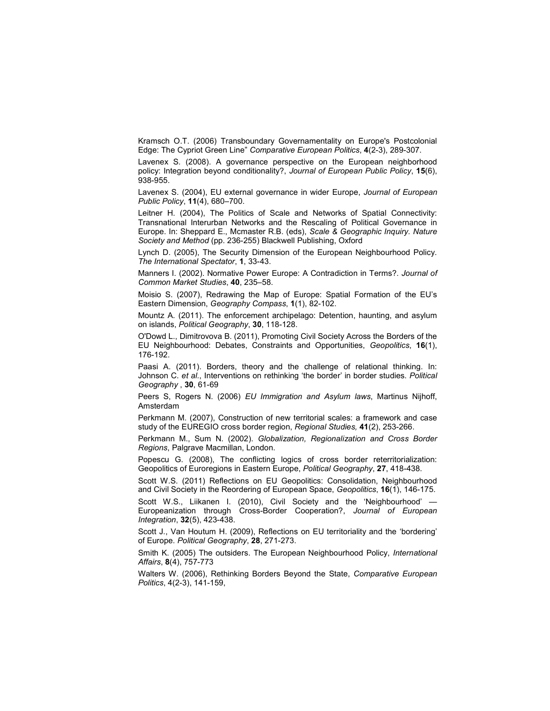Kramsch O.T. (2006) Transboundary Governamentality on Europe's Postcolonial Edge: The Cypriot Green Line" Comparative European Politics, 4(2-3), 289-307.

Lavenex S. (2008). A governance perspective on the European neighborhood policy: Integration beyond conditionality?, Journal of European Public Policy, 15(6), 938-955.

Lavenex S. (2004), EU external governance in wider Europe, Journal of European Public Policy, 11(4), 680–700.

Leitner H. (2004), The Politics of Scale and Networks of Spatial Connectivity: Transnational Interurban Networks and the Rescaling of Political Governance in Europe. In: Sheppard E., Mcmaster R.B. (eds), Scale & Geographic Inquiry. Nature Society and Method (pp. 236-255) Blackwell Publishing, Oxford

Lynch D. (2005), The Security Dimension of the European Neighbourhood Policy. The International Spectator, 1, 33-43.

Manners I. (2002). Normative Power Europe: A Contradiction in Terms?. Journal of Common Market Studies, 40, 235–58.

Moisio S. (2007), Redrawing the Map of Europe: Spatial Formation of the EU's Eastern Dimension, Geography Compass, 1(1), 82-102.

Mountz A. (2011). The enforcement archipelago: Detention, haunting, and asylum on islands, Political Geography, 30, 118-128.

O'Dowd L., Dimitrovova B. (2011), Promoting Civil Society Across the Borders of the EU Neighbourhood: Debates, Constraints and Opportunities, Geopolitics, 16(1), 176-192.

Paasi A. (2011). Borders, theory and the challenge of relational thinking. In: Johnson C. et al., Interventions on rethinking 'the border' in border studies. Political Geography , 30, 61-69

Peers S, Rogers N. (2006) EU Immigration and Asylum laws, Martinus Nijhoff, Amsterdam

Perkmann M. (2007), Construction of new territorial scales: a framework and case study of the EUREGIO cross border region, Regional Studies, 41(2), 253-266.

Perkmann M., Sum N. (2002). Globalization, Regionalization and Cross Border Regions, Palgrave Macmillan, London.

Popescu G. (2008), The conflicting logics of cross border reterritorialization: Geopolitics of Euroregions in Eastern Europe, Political Geography, 27, 418-438.

Scott W.S. (2011) Reflections on EU Geopolitics: Consolidation, Neighbourhood and Civil Society in the Reordering of European Space, Geopolitics, 16(1), 146-175.

Scott W.S., Liikanen I. (2010), Civil Society and the 'Neighbourhood' Europeanization through Cross-Border Cooperation?, Journal of European Integration, 32(5), 423-438.

Scott J., Van Houtum H. (2009), Reflections on EU territoriality and the 'bordering' of Europe. Political Geography, 28, 271-273.

Smith K. (2005) The outsiders. The European Neighbourhood Policy, International Affairs, 8(4), 757-773

Walters W. (2006), Rethinking Borders Beyond the State, Comparative European Politics, 4(2-3), 141-159,